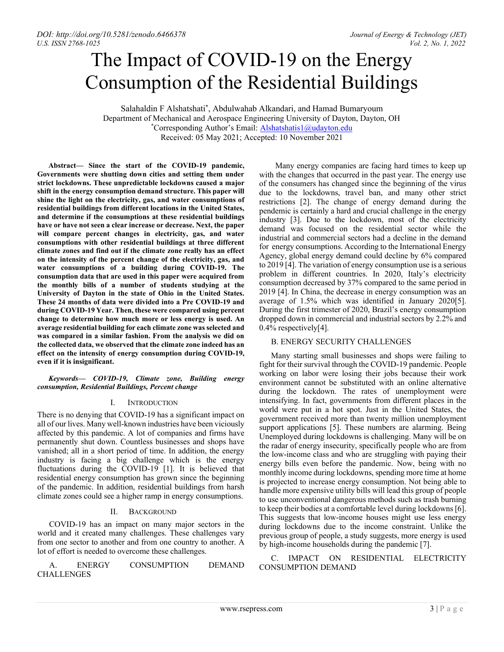# The Impact of COVID-19 on the Energy Consumption of the Residential Buildings

Salahaldin F Alshatshati\* , Abdulwahab Alkandari, and Hamad Bumaryoum Department of Mechanical and Aerospace Engineering University of Dayton, Dayton, OH \*Corresponding Author's Email: [Alshatshatis1@udayton.edu](mailto:Alshatshatis1@udayton.edu) Received: 05 May 2021; Accepted: 10 November 2021

**Abstract— Since the start of the COVID-19 pandemic, Governments were shutting down cities and setting them under strict lockdowns. These unpredictable lockdowns caused a major shift in the energy consumption demand structure. This paper will shine the light on the electricity, gas, and water consumptions of residential buildings from different locations in the United States, and determine if the consumptions at these residential buildings have or have not seen a clear increase or decrease. Next, the paper will compare percent changes in electricity, gas, and water consumptions with other residential buildings at three different climate zones and find out if the climate zone really has an effect on the intensity of the percent change of the electricity, gas, and water consumptions of a building during COVID-19. The consumption data that are used in this paper were acquired from the monthly bills of a number of students studying at the University of Dayton in the state of Ohio in the United States. These 24 months of data were divided into a Pre COVID-19 and during COVID-19 Year. Then, these were compared using percent change to determine how much more or less energy is used. An average residential building for each climate zone was selected and was compared in a similar fashion. From the analysis we did on the collected data, we observed that the climate zone indeed has an effect on the intensity of energy consumption during COVID-19, even if it is insignificant.**

*Keywords— COVID-19, Climate zone, Building energy consumption, Residential Buildings, Percent change*

### I. INTRODUCTION

There is no denying that COVID-19 has a significant impact on all of our lives. Many well-known industries have been viciously affected by this pandemic. A lot of companies and firms have permanently shut down. Countless businesses and shops have vanished; all in a short period of time. In addition, the energy industry is facing a big challenge which is the energy fluctuations during the COVID-19 [1]. It is believed that residential energy consumption has grown since the beginning of the pandemic. In addition, residential buildings from harsh climate zones could see a higher ramp in energy consumptions.

## II. BACKGROUND

COVID-19 has an impact on many major sectors in the world and it created many challenges. These challenges vary from one sector to another and from one country to another. A lot of effort is needed to overcome these challenges.

A. ENERGY CONSUMPTION DEMAND CHALLENGES

 Many energy companies are facing hard times to keep up with the changes that occurred in the past year. The energy use of the consumers has changed since the beginning of the virus due to the lockdowns, travel ban, and many other strict restrictions [2]. The change of energy demand during the pendemic is certainly a hard and crucial challenge in the energy industry [3]. Due to the lockdown, most of the electricity demand was focused on the residential sector while the industrial and commercial sectors had a decline in the demand for energy consumptions. According to the International Energy Agency, global energy demand could decline by 6% compared to 2019 [4]. The variation of energy consumption use is a serious problem in different countries. In 2020, Italy's electricity consumption decreased by 37% compared to the same period in 2019 [4]. In China, the decrease in energy consumption was an average of 1.5% which was identified in January 2020[5]. During the first trimester of 2020, Brazil's energy consumption dropped down in commercial and industrial sectors by 2.2% and 0.4% respectively[4].

## B. ENERGY SECURITY CHALLENGES

Many starting small businesses and shops were failing to fight for their survival through the COVID-19 pandemic. People working on labor were losing their jobs because their work environment cannot be substituted with an online alternative during the lockdown. The rates of unemployment were intensifying. In fact, governments from different places in the world were put in a hot spot. Just in the United States, the government received more than twenty million unemployment support applications [5]. These numbers are alarming. Being Unemployed during lockdowns is challenging. Many will be on the radar of energy insecurity, specifically people who are from the low-income class and who are struggling with paying their energy bills even before the pandemic. Now, being with no monthly income during lockdowns, spending more time at home is projected to increase energy consumption. Not being able to handle more expensive utility bills will lead this group of people to use unconventional dangerous methods such as trash burning to keep their bodies at a comfortable level during lockdowns [6]. This suggests that low-income houses might use less energy during lockdowns due to the income constraint. Unlike the previous group of people, a study suggests, more energy is used by high-income households during the pandemic [7].

C. IMPACT ON RESIDENTIAL ELECTRICITY CONSUMPTION DEMAND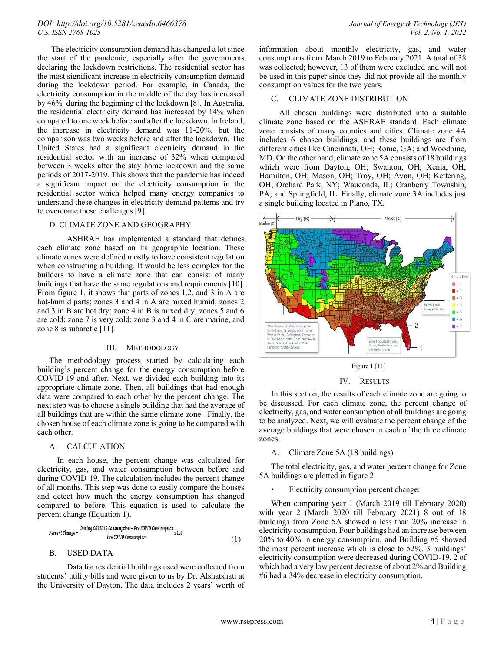The electricity consumption demand has changed a lot since the start of the pandemic, especially after the governments declaring the lockdown restrictions. The residential sector has the most significant increase in electricity consumption demand during the lockdown period. For example, in Canada, the electricity consumption in the middle of the day has increased by 46% during the beginning of the lockdown [8]. In Australia, the residential electricity demand has increased by 14% when compared to one week before and after the lockdown. In Ireland, the increase in electricity demand was 11-20%, but the comparison was two weeks before and after the lockdown. The United States had a significant electricity demand in the residential sector with an increase of 32% when compared between 3 weeks after the stay home lockdown and the same periods of 2017-2019. This shows that the pandemic has indeed a significant impact on the electricity consumption in the residential sector which helped many energy companies to understand these changes in electricity demand patterns and try to overcome these challenges [9].

# D. CLIMATE ZONE AND GEOGRAPHY

ASHRAE has implemented a standard that defines each climate zone based on its geographic location. These climate zones were defined mostly to have consistent regulation when constructing a building. It would be less complex for the builders to have a climate zone that can consist of many buildings that have the same regulations and requirements [10]. From figure 1, it shows that parts of zones 1,2, and 3 in A are hot-humid parts; zones 3 and 4 in A are mixed humid; zones 2 and 3 in B are hot dry; zone 4 in B is mixed dry; zones 5 and 6 are cold; zone 7 is very cold; zone 3 and 4 in C are marine, and zone 8 is subarctic [11].

#### III. METHODOLOGY

The methodology process started by calculating each building's percent change for the energy consumption before COVID-19 and after. Next, we divided each building into its appropriate climate zone. Then, all buildings that had enough data were compared to each other by the percent change. The next step was to choose a single building that had the average of all buildings that are within the same climate zone. Finally, the chosen house of each climate zone is going to be compared with each other.

### A. CALCULATION

 In each house, the percent change was calculated for electricity, gas, and water consumption between before and during COVID-19. The calculation includes the percent change of all months. This step was done to easily compare the houses and detect how much the energy consumption has changed compared to before. This equation is used to calculate the percent change (Equation 1).

$$
Percent Change = \frac{During COVID19\,Consumption - Pre COVID\,Consumption}{Pre COVID\,Consumption}\,x\,100}\tag{1}
$$

## B. USED DATA

Data for residential buildings used were collected from students' utility bills and were given to us by Dr. Alshatshati at the University of Dayton. The data includes 2 years' worth of information about monthly electricity, gas, and water consumptions from March 2019 to February 2021. A total of 38 was collected; however, 13 of them were excluded and will not be used in this paper since they did not provide all the monthly consumption values for the two years.

# C. CLIMATE ZONE DISTRIBUTION

 All chosen buildings were distributed into a suitable climate zone based on the ASHRAE standard. Each climate zone consists of many counties and cities. Climate zone 4A includes 6 chosen buildings, and these buildings are from different cities like Cincinnati, OH; Rome, GA; and Woodbine, MD. On the other hand, climate zone 5A consists of 18 buildings which were from Dayton, OH; Swanton, OH; Xenia, OH; Hamilton, OH; Mason, OH; Troy, OH; Avon, OH; Kettering, OH; Orchard Park, NY; Wauconda, IL; Cranberry Township, PA; and Springfield, IL. Finally, climate zone 3A includes just a single building located in Plano, TX.



Figure 1 [11]

### IV. RESULTS

In this section, the results of each climate zone are going to be discussed. For each climate zone, the percent change of electricity, gas, and water consumption of all buildings are going to be analyzed. Next, we will evaluate the percent change of the average buildings that were chosen in each of the three climate zones.

### A. Climate Zone 5A (18 buildings)

The total electricity, gas, and water percent change for Zone 5A buildings are plotted in figure 2.

### • Electricity consumption percent change:

When comparing year 1 (March 2019 till February 2020) with year 2 (March 2020 till February 2021) 8 out of 18 buildings from Zone 5A showed a less than 20% increase in electricity consumption. Four buildings had an increase between 20% to 40% in energy consumption, and Building #5 showed the most percent increase which is close to 52%. 3 buildings' electricity consumption were decreased during COVID-19. 2 of which had a very low percent decrease of about 2% and Building #6 had a 34% decrease in electricity consumption.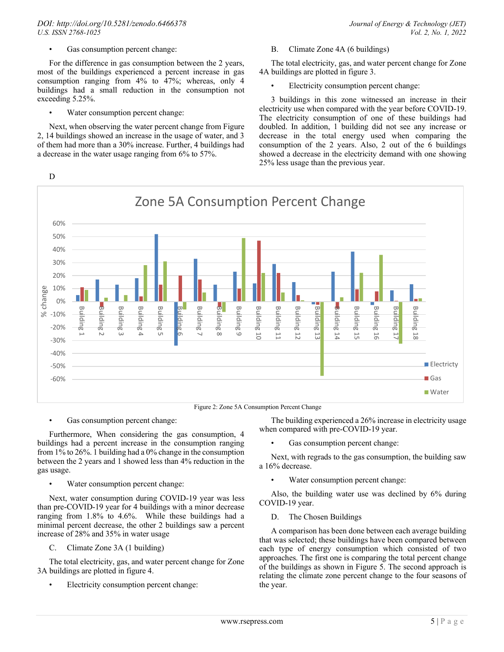### *DOI: http://doi.org/10.5281/zenodo*.*6466378 Journal of Energy & Technology (JET) U.S. ISSN 2768-1025 Vol. 2, No. 1, 2022*

Gas consumption percent change:

For the difference in gas consumption between the 2 years, most of the buildings experienced a percent increase in gas consumption ranging from 4% to 47%; whereas, only 4 buildings had a small reduction in the consumption not exceeding 5.25%.

Water consumption percent change:

Next, when observing the water percent change from Figure 2, 14 buildings showed an increase in the usage of water, and 3 of them had more than a 30% increase. Further, 4 buildings had a decrease in the water usage ranging from 6% to 57%.

B. Climate Zone 4A (6 buildings)

The total electricity, gas, and water percent change for Zone 4A buildings are plotted in figure 3.

• Electricity consumption percent change:

3 buildings in this zone witnessed an increase in their electricity use when compared with the year before COVID-19. The electricity consumption of one of these buildings had doubled. In addition, 1 building did not see any increase or decrease in the total energy used when comparing the consumption of the 2 years. Also, 2 out of the 6 buildings showed a decrease in the electricity demand with one showing 25% less usage than the previous year.



Figure 2: Zone 5A Consumption Percent Change

Gas consumption percent change:

Furthermore, When considering the gas consumption, 4 buildings had a percent increase in the consumption ranging from 1% to 26%. 1 building had a 0% change in the consumption between the 2 years and 1 showed less than 4% reduction in the gas usage.

Water consumption percent change:

Next, water consumption during COVID-19 year was less than pre-COVID-19 year for 4 buildings with a minor decrease ranging from 1.8% to 4.6%. While these buildings had a minimal percent decrease, the other 2 buildings saw a percent increase of 28% and 35% in water usage

C. Climate Zone 3A (1 building)

The total electricity, gas, and water percent change for Zone 3A buildings are plotted in figure 4.

• Electricity consumption percent change:

The building experienced a 26% increase in electricity usage when compared with pre-COVID-19 year.

Gas consumption percent change:

Next, with regrads to the gas consumption, the building saw a 16% decrease.

Water consumption percent change:

Also, the building water use was declined by 6% during COVID-19 year.

D. The Chosen Buildings

A comparison has been done between each average building that was selected; these buildings have been compared between each type of energy consumption which consisted of two approaches. The first one is comparing the total percent change of the buildings as shown in Figure 5. The second approach is relating the climate zone percent change to the four seasons of the year.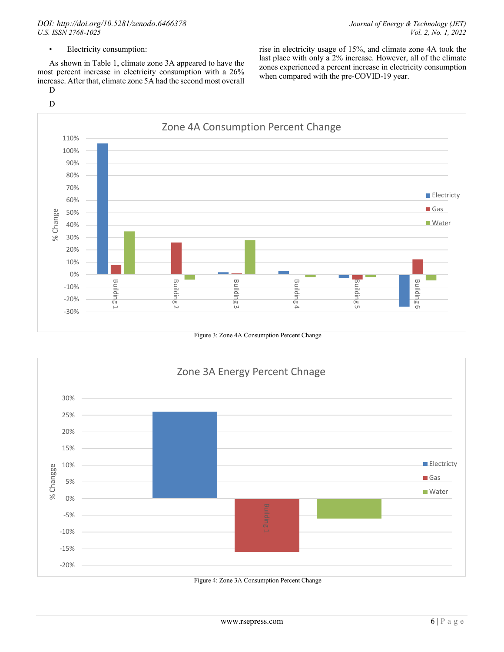### *DOI: http://doi.org/10.5281/zenodo*.*6466378 Journal of Energy & Technology (JET) U.S. ISSN 2768-1025 Vol. 2, No. 1, 2022*

rise in electricity usage of 15%, and climate zone 4A took the last place with only a 2% increase. However, all of the climate zones experienced a percent increase in electricity consumption

when compared with the pre-COVID-19 year.

• Electricity consumption:

As shown in Table 1, climate zone 3A appeared to have the most percent increase in electricity consumption with a 26% increase. After that, climate zone 5A had the second most overall

D



Figure 3: Zone 4A Consumption Percent Change



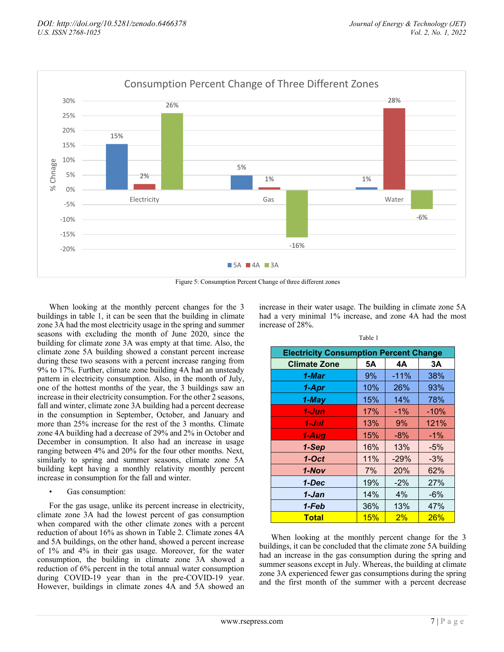

Figure 5: Consumption Percent Change of three different zones

When looking at the monthly percent changes for the 3 buildings in table 1, it can be seen that the building in climate zone 3A had the most electricity usage in the spring and summer seasons with excluding the month of June 2020, since the building for climate zone 3A was empty at that time. Also, the climate zone 5A building showed a constant percent increase during these two seasons with a percent increase ranging from 9% to 17%. Further, climate zone building 4A had an unsteady pattern in electricity consumption. Also, in the month of July, one of the hottest months of the year, the 3 buildings saw an increase in their electricity consumption. For the other 2 seasons, fall and winter, climate zone 3A building had a percent decrease in the consumption in September, October, and January and more than 25% increase for the rest of the 3 months. Climate zone 4A building had a decrease of 29% and 2% in October and December in consumption. It also had an increase in usage ranging between 4% and 20% for the four other months. Next, similarly to spring and summer seasons, climate zone 5A building kept having a monthly relativity monthly percent increase in consumption for the fall and winter.

Gas consumption:

For the gas usage, unlike its percent increase in electricity, climate zone 3A had the lowest percent of gas consumption when compared with the other climate zones with a percent reduction of about 16% as shown in Table 2. Climate zones 4A and 5A buildings, on the other hand, showed a percent increase of 1% and 4% in their gas usage. Moreover, for the water consumption, the building in climate zone 3A showed a reduction of 6% percent in the total annual water consumption during COVID-19 year than in the pre-COVID-19 year. However, buildings in climate zones 4A and 5A showed an

increase in their water usage. The building in climate zone 5A had a very minimal 1% increase, and zone 4A had the most increase of 28%.

| <b>Electricity Consumption Percent Change</b> |     |        |        |  |
|-----------------------------------------------|-----|--------|--------|--|
| <b>Climate Zone</b>                           | 5А  | 4А     | 3A     |  |
| 1-Mar                                         | 9%  | $-11%$ | 38%    |  |
| 1-Apr                                         | 10% | 26%    | 93%    |  |
| 1-May                                         | 15% | 14%    | 78%    |  |
| 1-Jun                                         | 17% | $-1%$  | $-10%$ |  |
| 1-Jul                                         | 13% | 9%     | 121%   |  |
| 1-Aug                                         | 15% | $-8%$  | $-1%$  |  |
| 1-Sep                                         | 16% | 13%    | $-5%$  |  |
| $1-Oct$                                       | 11% | $-29%$ | $-3%$  |  |
| 1-Nov                                         | 7%  | 20%    | 62%    |  |
| 1-Dec                                         | 19% | $-2%$  | 27%    |  |
| 1-Jan                                         | 14% | 4%     | -6%    |  |
| 1-Feb                                         | 36% | 13%    | 47%    |  |
| <b>Total</b>                                  | 15% | 2%     | 26%    |  |

When looking at the monthly percent change for the 3 buildings, it can be concluded that the climate zone 5A building had an increase in the gas consumption during the spring and summer seasons except in July. Whereas, the building at climate zone 3A experienced fewer gas consumptions during the spring and the first month of the summer with a percent decrease

Table 1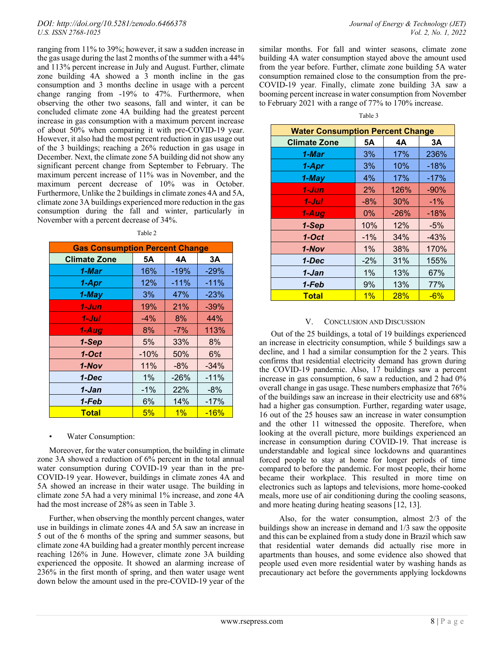ranging from 11% to 39%; however, it saw a sudden increase in the gas usage during the last 2 months of the summer with a 44% and 113% percent increase in July and August. Further, climate zone building 4A showed a 3 month incline in the gas consumption and 3 months decline in usage with a percent change ranging from -19% to 47%. Furthermore, when observing the other two seasons, fall and winter, it can be concluded climate zone 4A building had the greatest percent increase in gas consumption with a maximum percent increase of about 50% when comparing it with pre-COVID-19 year. However, it also had the most percent reduction in gas usage out of the 3 buildings; reaching a 26% reduction in gas usage in December. Next, the climate zone 5A building did not show any significant percent change from September to February. The maximum percent increase of 11% was in November, and the maximum percent decrease of 10% was in October. Furthermore, Unlike the 2 buildings in climate zones 4A and 5A, climate zone 3A buildings experienced more reduction in the gas consumption during the fall and winter, particularly in November with a percent decrease of 34%.

| <b>Gas Consumption Percent Change</b> |        |        |        |  |
|---------------------------------------|--------|--------|--------|--|
| <b>Climate Zone</b>                   | 5А     | 4А     | 3А     |  |
| 1-Mar                                 | 16%    | $-19%$ | $-29%$ |  |
| 1-Apr                                 | 12%    | $-11%$ | $-11%$ |  |
| 1-May                                 | 3%     | 47%    | $-23%$ |  |
| 1-Jun                                 | 19%    | 21%    | $-39%$ |  |
| 1-Jul                                 | $-4\%$ | 8%     | 44%    |  |
| 1-Aug                                 | 8%     | $-7%$  | 113%   |  |
| 1-Sep                                 | 5%     | 33%    | 8%     |  |
| $1-Oct$                               | $-10%$ | 50%    | 6%     |  |
| 1-Nov                                 | 11%    | $-8%$  | $-34%$ |  |
| 1-Dec                                 | 1%     | $-26%$ | $-11%$ |  |
| 1-Jan                                 | $-1%$  | 22%    | $-8%$  |  |
| 1-Feb                                 | 6%     | 14%    | $-17%$ |  |
| <b>Total</b>                          | 5%     | $1\%$  | $-16%$ |  |

#### • Water Consumption:

Moreover, for the water consumption, the building in climate zone 3A showed a reduction of 6% percent in the total annual water consumption during COVID-19 year than in the pre-COVID-19 year. However, buildings in climate zones 4A and 5A showed an increase in their water usage. The building in climate zone 5A had a very minimal 1% increase, and zone 4A had the most increase of 28% as seen in Table 3.

Further, when observing the monthly percent changes, water use in buildings in climate zones 4A and 5A saw an increase in 5 out of the 6 months of the spring and summer seasons, but climate zone 4A building had a greater monthly percent increase reaching 126% in June. However, climate zone 3A building experienced the opposite. It showed an alarming increase of 236% in the first month of spring, and then water usage went down below the amount used in the pre-COVID-19 year of the

similar months. For fall and winter seasons, climate zone building 4A water consumption stayed above the amount used from the year before. Further, climate zone building 5A water consumption remained close to the consumption from the pre-COVID-19 year. Finally, climate zone building 3A saw a booming percent increase in water consumption from November to February 2021 with a range of 77% to 170% increase.

| <b>Water Consumption Percent Change</b> |        |        |        |  |
|-----------------------------------------|--------|--------|--------|--|
| <b>Climate Zone</b>                     | 5Α     | 4А     | ЗA     |  |
| 1-Mar                                   | 3%     | 17%    | 236%   |  |
| 1-Apr                                   | 3%     | 10%    | $-18%$ |  |
| 1-May                                   | 4%     | 17%    | $-17%$ |  |
| 1-Jun                                   | 2%     | 126%   | $-90%$ |  |
| 1-Jul                                   | $-8%$  | 30%    | $-1%$  |  |
| 1-Aug                                   | $0\%$  | $-26%$ | $-18%$ |  |
| 1-Sep                                   | 10%    | 12%    | $-5%$  |  |
| $1-Oct$                                 | $-1%$  | 34%    | $-43%$ |  |
| 1-Nov                                   | 1%     | 38%    | 170%   |  |
| 1-Dec                                   | $-2\%$ | 31%    | 155%   |  |
| 1-Jan                                   | 1%     | 13%    | 67%    |  |
| 1-Feb                                   | 9%     | 13%    | 77%    |  |
| Total                                   | 1%     | 28%    | $-6%$  |  |

#### V. CONCLUSION AND DISCUSSION

Out of the 25 buildings, a total of 19 buildings experienced an increase in electricity consumption, while 5 buildings saw a decline, and 1 had a similar consumption for the 2 years. This confirms that residential electricity demand has grown during the COVID-19 pandemic. Also, 17 buildings saw a percent increase in gas consumption, 6 saw a reduction, and 2 had 0% overall change in gas usage. These numbers emphasize that 76% of the buildings saw an increase in their electricity use and 68% had a higher gas consumption. Further, regarding water usage, 16 out of the 25 houses saw an increase in water consumption and the other 11 witnessed the opposite. Therefore, when looking at the overall picture, more buildings experienced an increase in consumption during COVID-19. That increase is understandable and logical since lockdowns and quarantines forced people to stay at home for longer periods of time compared to before the pandemic. For most people, their home became their workplace. This resulted in more time on electronics such as laptops and televisions, more home-cooked meals, more use of air conditioning during the cooling seasons, and more heating during heating seasons [12, 13].

 Also, for the water consumption, almost 2/3 of the buildings show an increase in demand and 1/3 saw the opposite and this can be explained from a study done in Brazil which saw that residential water demands did actually rise more in apartments than houses, and some evidence also showed that people used even more residential water by washing hands as precautionary act before the governments applying lockdowns